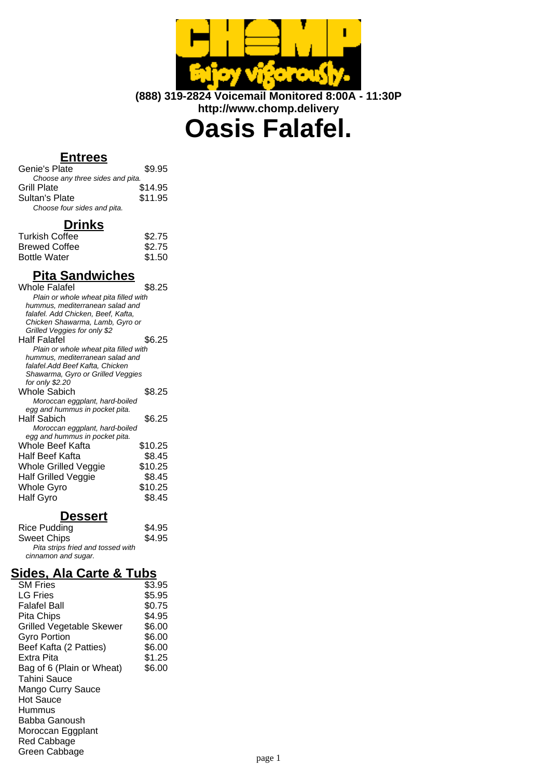

**(888) 319-2824 Voicemail Monitored 8:00A - 11:30P http://www.chomp.delivery**

# **Oasis Falafel.**

#### **Entrees**

| Genie's Plate                    | \$9.95  |
|----------------------------------|---------|
| Choose any three sides and pita. |         |
| Grill Plate                      | \$14.95 |
| Sultan's Plate                   | \$11.95 |
| Choose four sides and pita.      |         |

## **Drinks**

| \$2.75 |
|--------|
| \$2.75 |
| \$1.50 |
|        |

## **Pita Sandwiches**

| Whole Falafel                         | \$8.25  |
|---------------------------------------|---------|
| Plain or whole wheat pita filled with |         |
| hummus, mediterranean salad and       |         |
| falafel. Add Chicken, Beef, Kafta,    |         |
| Chicken Shawarma, Lamb, Gyro or       |         |
| Grilled Veggies for only \$2          |         |
| Half Falafel                          | \$6.25  |
| Plain or whole wheat pita filled with |         |
| hummus, mediterranean salad and       |         |
| falafel.Add Beef Kafta, Chicken       |         |
| Shawarma, Gyro or Grilled Veggies     |         |
| for only \$2.20                       |         |
| Whole Sabich                          | \$8.25  |
| Moroccan eggplant, hard-boiled        |         |
| egg and hummus in pocket pita.        |         |
| Half Sabich                           | \$6.25  |
| Moroccan eggplant, hard-boiled        |         |
| egg and hummus in pocket pita.        |         |
| Whole Beef Kafta                      | \$10.25 |
| Half Beef Kafta                       | \$8.45  |
| Whole Grilled Veggie                  | \$10.25 |
| <b>Half Grilled Veggie</b>            | \$8.45  |
| Whole Gyro                            | \$10.25 |
| Half Gyro                             | \$8.45  |
|                                       |         |

#### **Dessert**

| Rice Pudding                      | \$4.95 |
|-----------------------------------|--------|
| <b>Sweet Chips</b>                | \$4.95 |
| Pita strips fried and tossed with |        |
| cinnamon and sugar.               |        |

# **Sides, Ala Carte & Tubs**

| <b>SM Fries</b>           | \$3.95 |
|---------------------------|--------|
| <b>LG Fries</b>           | \$5.95 |
| <b>Falafel Ball</b>       | \$0.75 |
| Pita Chips                | \$4.95 |
| Grilled Vegetable Skewer  | \$6.00 |
| Gyro Portion              | \$6.00 |
| Beef Kafta (2 Patties)    | \$6.00 |
| Extra Pita                | \$1.25 |
| Bag of 6 (Plain or Wheat) | \$6.00 |
| <b>Tahini Sauce</b>       |        |
| Mango Curry Sauce         |        |
| <b>Hot Sauce</b>          |        |
| Hummus                    |        |
| Babba Ganoush             |        |
| Moroccan Eggplant         |        |
| Red Cabbage               |        |
| Green Cabbage             |        |
|                           |        |